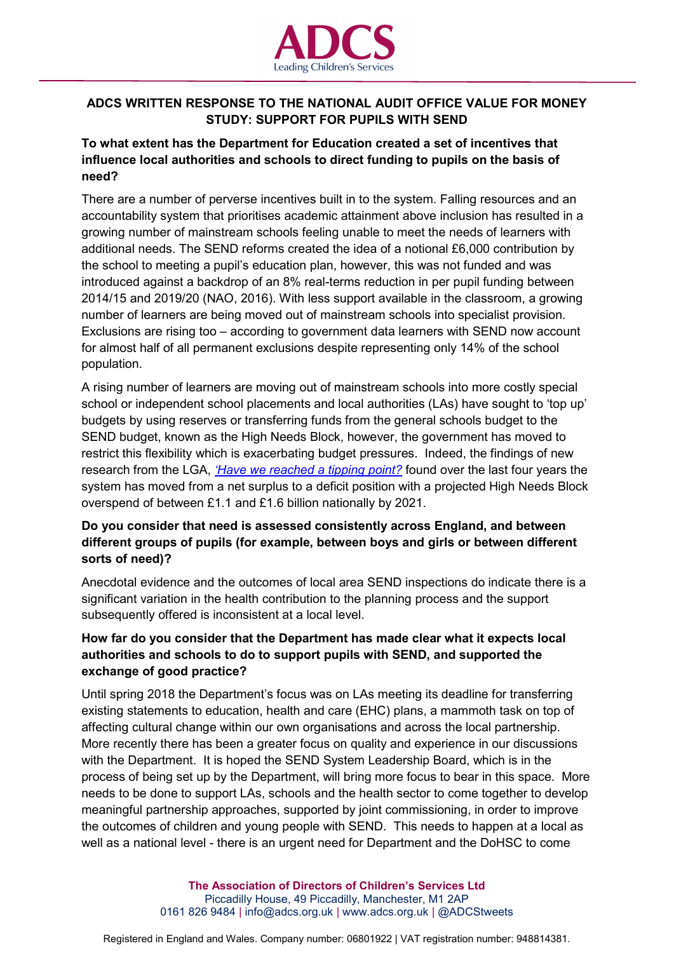

# **ADCS WRITTEN RESPONSE TO THE NATIONAL AUDIT OFFICE VALUE FOR MONEY STUDY: SUPPORT FOR PUPILS WITH SEND**

# **To what extent has the Department for Education created a set of incentives that influence local authorities and schools to direct funding to pupils on the basis of need?**

There are a number of perverse incentives built in to the system. Falling resources and an accountability system that prioritises academic attainment above inclusion has resulted in a growing number of mainstream schools feeling unable to meet the needs of learners with additional needs. The SEND reforms created the idea of a notional £6,000 contribution by the school to meeting a pupil's education plan, however, this was not funded and was introduced against a backdrop of an 8% real-terms reduction in per pupil funding between 2014/15 and 2019/20 (NAO, 2016). With less support available in the classroom, a growing number of learners are being moved out of mainstream schools into specialist provision. Exclusions are rising too – according to government data learners with SEND now account for almost half of all permanent exclusions despite representing only 14% of the school population.

A rising number of learners are moving out of mainstream schools into more costly special school or independent school placements and local authorities (LAs) have sought to 'top up' budgets by using reserves or transferring funds from the general schools budget to the SEND budget, known as the High Needs Block, however, the government has moved to restrict this flexibility which is exacerbating budget pressures. Indeed, the findings of new research from the LGA, *['Have we reached a tipping point?](http://www.isospartnership.com/uploads/files/LGA%20HN%20report%20published%2012.12.18.pdf)* found over the last four years the system has moved from a net surplus to a deficit position with a projected High Needs Block overspend of between £1.1 and £1.6 billion nationally by 2021.

## **Do you consider that need is assessed consistently across England, and between different groups of pupils (for example, between boys and girls or between different sorts of need)?**

Anecdotal evidence and the outcomes of local area SEND inspections do indicate there is a significant variation in the health contribution to the planning process and the support subsequently offered is inconsistent at a local level.

## **How far do you consider that the Department has made clear what it expects local authorities and schools to do to support pupils with SEND, and supported the exchange of good practice?**

Until spring 2018 the Department's focus was on LAs meeting its deadline for transferring existing statements to education, health and care (EHC) plans, a mammoth task on top of affecting cultural change within our own organisations and across the local partnership. More recently there has been a greater focus on quality and experience in our discussions with the Department. It is hoped the SEND System Leadership Board, which is in the process of being set up by the Department, will bring more focus to bear in this space. More needs to be done to support LAs, schools and the health sector to come together to develop meaningful partnership approaches, supported by joint commissioning, in order to improve the outcomes of children and young people with SEND. This needs to happen at a local as well as a national level - there is an urgent need for Department and the DoHSC to come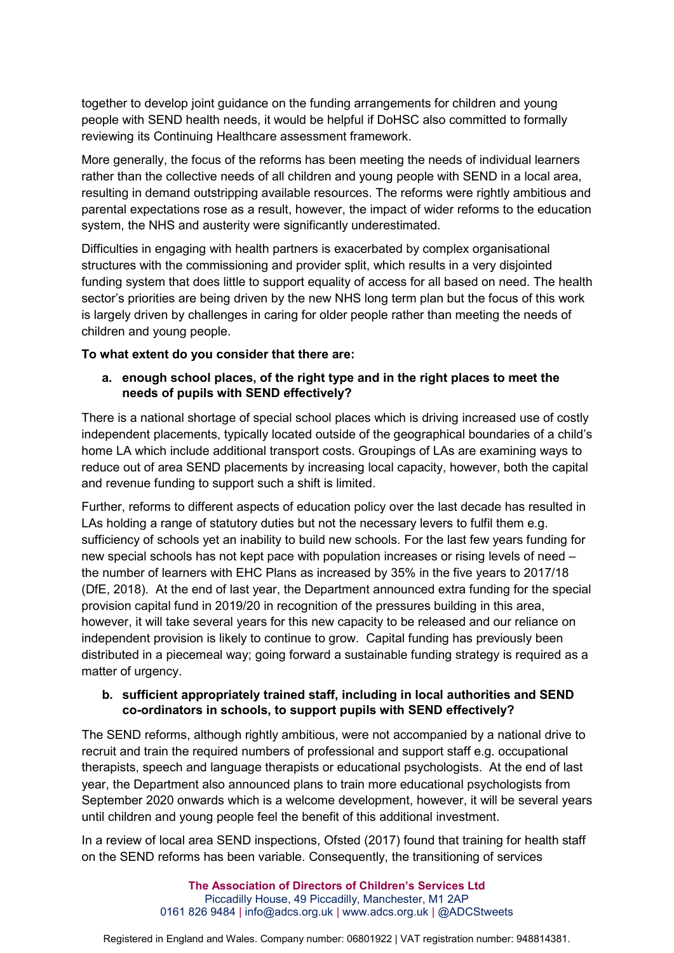together to develop joint guidance on the funding arrangements for children and young people with SEND health needs, it would be helpful if DoHSC also committed to formally reviewing its Continuing Healthcare assessment framework.

More generally, the focus of the reforms has been meeting the needs of individual learners rather than the collective needs of all children and young people with SEND in a local area, resulting in demand outstripping available resources. The reforms were rightly ambitious and parental expectations rose as a result, however, the impact of wider reforms to the education system, the NHS and austerity were significantly underestimated.

Difficulties in engaging with health partners is exacerbated by complex organisational structures with the commissioning and provider split, which results in a very disjointed funding system that does little to support equality of access for all based on need. The health sector's priorities are being driven by the new NHS long term plan but the focus of this work is largely driven by challenges in caring for older people rather than meeting the needs of children and young people.

#### **To what extent do you consider that there are:**

### **a. enough school places, of the right type and in the right places to meet the needs of pupils with SEND effectively?**

There is a national shortage of special school places which is driving increased use of costly independent placements, typically located outside of the geographical boundaries of a child's home LA which include additional transport costs. Groupings of LAs are examining ways to reduce out of area SEND placements by increasing local capacity, however, both the capital and revenue funding to support such a shift is limited.

Further, reforms to different aspects of education policy over the last decade has resulted in LAs holding a range of statutory duties but not the necessary levers to fulfil them e.g. sufficiency of schools yet an inability to build new schools. For the last few years funding for new special schools has not kept pace with population increases or rising levels of need – the number of learners with EHC Plans as increased by 35% in the five years to 2017/18 (DfE, 2018). At the end of last year, the Department announced extra funding for the special provision capital fund in 2019/20 in recognition of the pressures building in this area, however, it will take several years for this new capacity to be released and our reliance on independent provision is likely to continue to grow. Capital funding has previously been distributed in a piecemeal way; going forward a sustainable funding strategy is required as a matter of urgency.

### **b. sufficient appropriately trained staff, including in local authorities and SEND co-ordinators in schools, to support pupils with SEND effectively?**

The SEND reforms, although rightly ambitious, were not accompanied by a national drive to recruit and train the required numbers of professional and support staff e.g. occupational therapists, speech and language therapists or educational psychologists. At the end of last year, the Department also announced plans to train more educational psychologists from September 2020 onwards which is a welcome development, however, it will be several years until children and young people feel the benefit of this additional investment.

In a review of local area SEND inspections, Ofsted (2017) found that training for health staff on the SEND reforms has been variable. Consequently, the transitioning of services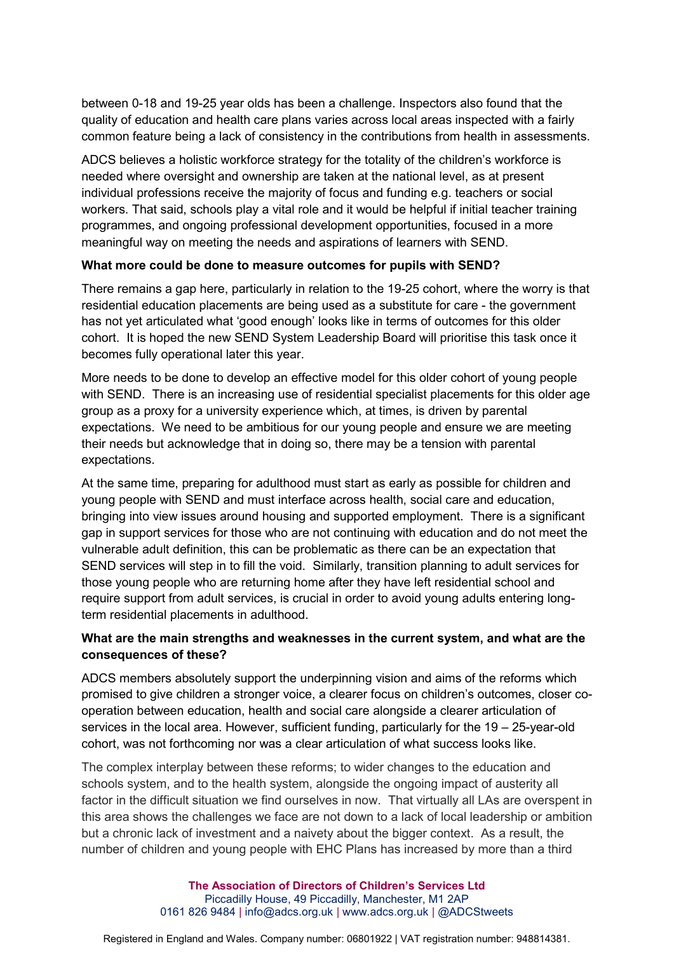between 0-18 and 19-25 year olds has been a challenge. Inspectors also found that the quality of education and health care plans varies across local areas inspected with a fairly common feature being a lack of consistency in the contributions from health in assessments.

ADCS believes a holistic workforce strategy for the totality of the children's workforce is needed where oversight and ownership are taken at the national level, as at present individual professions receive the majority of focus and funding e.g. teachers or social workers. That said, schools play a vital role and it would be helpful if initial teacher training programmes, and ongoing professional development opportunities, focused in a more meaningful way on meeting the needs and aspirations of learners with SEND.

#### **What more could be done to measure outcomes for pupils with SEND?**

There remains a gap here, particularly in relation to the 19-25 cohort, where the worry is that residential education placements are being used as a substitute for care - the government has not yet articulated what 'good enough' looks like in terms of outcomes for this older cohort. It is hoped the new SEND System Leadership Board will prioritise this task once it becomes fully operational later this year.

More needs to be done to develop an effective model for this older cohort of young people with SEND. There is an increasing use of residential specialist placements for this older age group as a proxy for a university experience which, at times, is driven by parental expectations. We need to be ambitious for our young people and ensure we are meeting their needs but acknowledge that in doing so, there may be a tension with parental expectations.

At the same time, preparing for adulthood must start as early as possible for children and young people with SEND and must interface across health, social care and education, bringing into view issues around housing and supported employment. There is a significant gap in support services for those who are not continuing with education and do not meet the vulnerable adult definition, this can be problematic as there can be an expectation that SEND services will step in to fill the void. Similarly, transition planning to adult services for those young people who are returning home after they have left residential school and require support from adult services, is crucial in order to avoid young adults entering longterm residential placements in adulthood.

#### **What are the main strengths and weaknesses in the current system, and what are the consequences of these?**

ADCS members absolutely support the underpinning vision and aims of the reforms which promised to give children a stronger voice, a clearer focus on children's outcomes, closer cooperation between education, health and social care alongside a clearer articulation of services in the local area. However, sufficient funding, particularly for the 19 – 25-year-old cohort, was not forthcoming nor was a clear articulation of what success looks like.

The complex interplay between these reforms; to wider changes to the education and schools system, and to the health system, alongside the ongoing impact of austerity all factor in the difficult situation we find ourselves in now. That virtually all LAs are overspent in this area shows the challenges we face are not down to a lack of local leadership or ambition but a chronic lack of investment and a naivety about the bigger context. As a result, the number of children and young people with EHC Plans has increased by more than a third